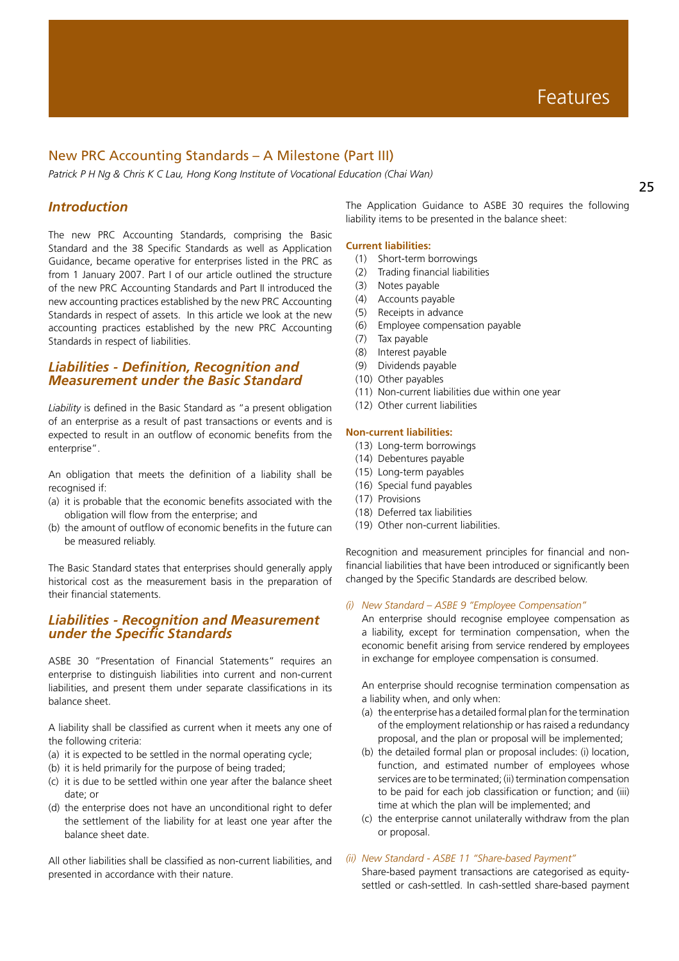# New PRC Accounting Standards – A Milestone (Part III)

*Patrick P H Ng & Chris K C Lau, Hong Kong Institute of Vocational Education (Chai Wan)*

# *Introduction*

The new PRC Accounting Standards, comprising the Basic Standard and the 38 Specific Standards as well as Application Guidance, became operative for enterprises listed in the PRC as from 1 January 2007. Part I of our article outlined the structure of the new PRC Accounting Standards and Part II introduced the new accounting practices established by the new PRC Accounting Standards in respect of assets. In this article we look at the new accounting practices established by the new PRC Accounting Standards in respect of liabilities.

# *Liabilities - Definition, Recognition and Measurement under the Basic Standard*

*Liability* is defined in the Basic Standard as "a present obligation of an enterprise as a result of past transactions or events and is expected to result in an outflow of economic benefits from the enterprise".

An obligation that meets the definition of a liability shall be recognised if:

- (a) it is probable that the economic benefits associated with the obligation will flow from the enterprise; and
- (b) the amount of outflow of economic benefits in the future can be measured reliably.

The Basic Standard states that enterprises should generally apply historical cost as the measurement basis in the preparation of their financial statements.

# *Liabilities - Recognition and Measurement under the Specific Standards*

ASBE 30 "Presentation of Financial Statements" requires an enterprise to distinguish liabilities into current and non-current liabilities, and present them under separate classifications in its balance sheet.

A liability shall be classified as current when it meets any one of the following criteria:

- (a) it is expected to be settled in the normal operating cycle;
- (b) it is held primarily for the purpose of being traded;
- (c) it is due to be settled within one year after the balance sheet date; or
- (d) the enterprise does not have an unconditional right to defer the settlement of the liability for at least one year after the balance sheet date.

All other liabilities shall be classified as non-current liabilities, and presented in accordance with their nature.

The Application Guidance to ASBE 30 requires the following liability items to be presented in the balance sheet:

### **Current liabilities:**

- (1) Short-term borrowings
- (2) Trading financial liabilities
- (3) Notes payable
- (4) Accounts payable
- (5) Receipts in advance
- (6) Employee compensation payable
- (7) Tax payable
- (8) Interest payable
- (9) Dividends payable
- (10) Other payables
- (11) Non-current liabilities due within one year
- (12) Other current liabilities

### **Non-current liabilities:**

- (13) Long-term borrowings
- (14) Debentures payable
- (15) Long-term payables
- (16) Special fund payables
- (17) Provisions
- (18) Deferred tax liabilities
- (19) Other non-current liabilities.

Recognition and measurement principles for financial and nonfinancial liabilities that have been introduced or significantly been changed by the Specific Standards are described below.

### *(i) New Standard – ASBE 9 "Employee Compensation"*

An enterprise should recognise employee compensation as a liability, except for termination compensation, when the economic benefit arising from service rendered by employees in exchange for employee compensation is consumed.

An enterprise should recognise termination compensation as a liability when, and only when:

- (a) the enterprise has a detailed formal plan for the termination of the employment relationship or has raised a redundancy proposal, and the plan or proposal will be implemented;
- (b) the detailed formal plan or proposal includes: (i) location, function, and estimated number of employees whose services are to be terminated; (ii) termination compensation to be paid for each job classification or function; and (iii) time at which the plan will be implemented; and
- (c) the enterprise cannot unilaterally withdraw from the plan or proposal.

### *(ii) New Standard - ASBE 11 "Share-based Payment"*

Share-based payment transactions are categorised as equitysettled or cash-settled. In cash-settled share-based payment